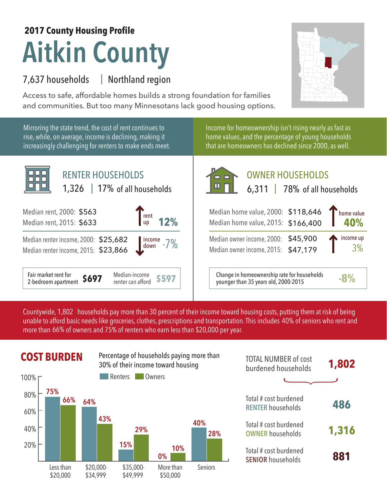## **Aitkin County 2017 County Housing Profile**

## 7,637 households Northland region |

Access to safe, affordable homes builds a strong foundation for families and communities. But too many Minnesotans lack good housing options.



Mirroring the state trend, the cost of rent continues to rise, while, on average, income is declining, making it increasingly challenging for renters to make ends meet.



Income for homeownership isn't rising nearly as fast as home values, and the percentage of young households that are homeowners has declined since 2000, as well.



## OWNER HOUSEHOLDS

|  | $,311$   78% of all households |
|--|--------------------------------|
|  |                                |

| Median home value, 2000: \$118,646<br>Median home value, 2015: \$166,400   |  | home value      |
|----------------------------------------------------------------------------|--|-----------------|
| Median owner income, 2000: \$45,900<br>Median owner income, 2015: \$47,179 |  | income up<br>3% |

**\$597** Change in homeownership rate for households younger than 35 years old, 2000-2015 **-8%**

Countywide, 1,802  $\,$  households pay more than 30 percent of their income toward housing costs, putting them at risk of being  $\,$ unable to afford basic needs like groceries, clothes, prescriptions and transportation. This includes 40% of seniors who rent and more than 66% of owners and 75% of renters who earn less than \$20,000 per year.



**COST BURDEN** Percentage of households paying more than **TOTAL NUMBER** of cost 30% of their income toward housing



| <b>TOTAL NUMBER of cost</b><br>burdened households | 1,802 |
|----------------------------------------------------|-------|
|                                                    |       |
| Total # cost burdened<br><b>RENTER households</b>  | 486   |
| Total # cost burdened<br><b>OWNER households</b>   | 1,316 |
| Total # cost burdened<br><b>SENIOR households</b>  | 881   |